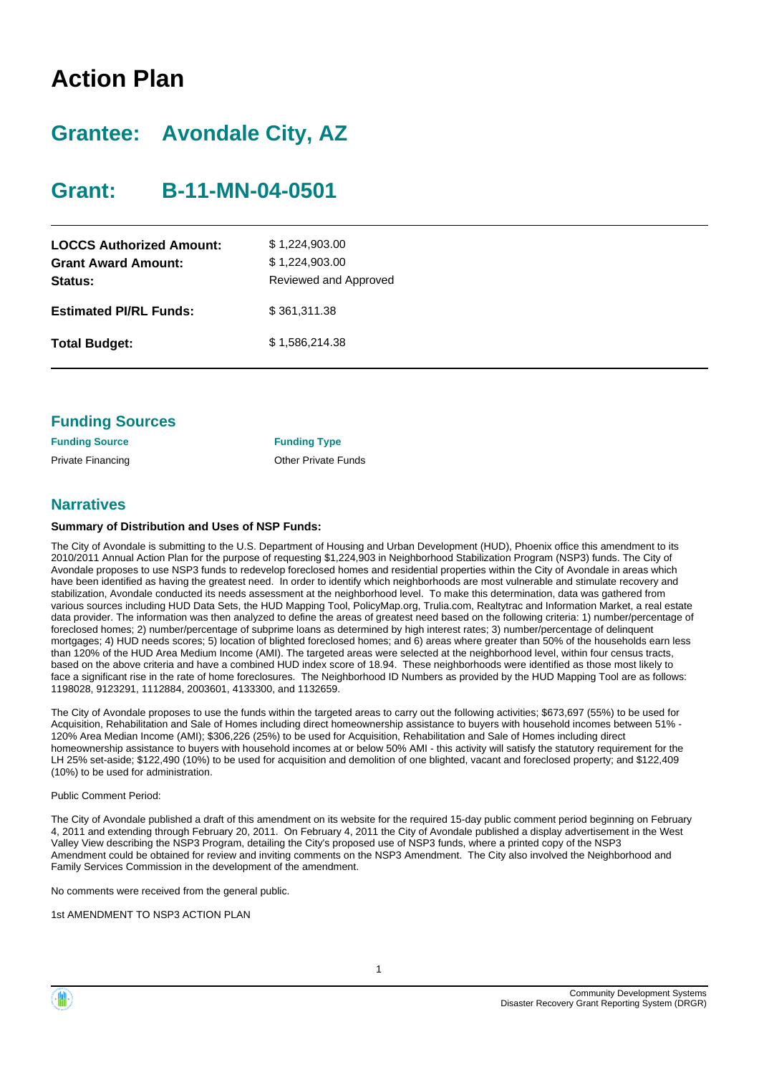# **Action Plan**

# **Grantee: Avondale City, AZ**

# **Grant: B-11-MN-04-0501**

| <b>LOCCS Authorized Amount:</b><br><b>Grant Award Amount:</b><br>Status: | \$1,224,903.00<br>\$1,224,903.00<br>Reviewed and Approved |
|--------------------------------------------------------------------------|-----------------------------------------------------------|
| <b>Estimated PI/RL Funds:</b>                                            | \$361,311.38                                              |
| <b>Total Budget:</b>                                                     | \$1,586,214.38                                            |

| <b>Funding Sources</b> |  |
|------------------------|--|
|------------------------|--|

| <b>Funding Source</b> | <b>Funding Type</b>        |
|-----------------------|----------------------------|
| Private Financing     | <b>Other Private Funds</b> |

## **Narratives**

### **Summary of Distribution and Uses of NSP Funds:**

The City of Avondale is submitting to the U.S. Department of Housing and Urban Development (HUD), Phoenix office this amendment to its 2010/2011 Annual Action Plan for the purpose of requesting \$1,224,903 in Neighborhood Stabilization Program (NSP3) funds. The City of Avondale proposes to use NSP3 funds to redevelop foreclosed homes and residential properties within the City of Avondale in areas which have been identified as having the greatest need. In order to identify which neighborhoods are most vulnerable and stimulate recovery and stabilization, Avondale conducted its needs assessment at the neighborhood level. To make this determination, data was gathered from various sources including HUD Data Sets, the HUD Mapping Tool, PolicyMap.org, Trulia.com, Realtytrac and Information Market, a real estate data provider. The information was then analyzed to define the areas of greatest need based on the following criteria: 1) number/percentage of foreclosed homes; 2) number/percentage of subprime loans as determined by high interest rates; 3) number/percentage of delinquent mortgages; 4) HUD needs scores; 5) location of blighted foreclosed homes; and 6) areas where greater than 50% of the households earn less than 120% of the HUD Area Medium Income (AMI). The targeted areas were selected at the neighborhood level, within four census tracts, based on the above criteria and have a combined HUD index score of 18.94. These neighborhoods were identified as those most likely to face a significant rise in the rate of home foreclosures. The Neighborhood ID Numbers as provided by the HUD Mapping Tool are as follows: 1198028, 9123291, 1112884, 2003601, 4133300, and 1132659.

The City of Avondale proposes to use the funds within the targeted areas to carry out the following activities; \$673,697 (55%) to be used for Acquisition, Rehabilitation and Sale of Homes including direct homeownership assistance to buyers with household incomes between 51% - 120% Area Median Income (AMI); \$306,226 (25%) to be used for Acquisition, Rehabilitation and Sale of Homes including direct homeownership assistance to buyers with household incomes at or below 50% AMI - this activity will satisfy the statutory requirement for the LH 25% set-aside; \$122,490 (10%) to be used for acquisition and demolition of one blighted, vacant and foreclosed property; and \$122,409 (10%) to be used for administration.

#### Public Comment Period:

The City of Avondale published a draft of this amendment on its website for the required 15-day public comment period beginning on February 4, 2011 and extending through February 20, 2011. On February 4, 2011 the City of Avondale published a display advertisement in the West Valley View describing the NSP3 Program, detailing the City's proposed use of NSP3 funds, where a printed copy of the NSP3 Amendment could be obtained for review and inviting comments on the NSP3 Amendment. The City also involved the Neighborhood and Family Services Commission in the development of the amendment.

No comments were received from the general public.

1st AMENDMENT TO NSP3 ACTION PLAN

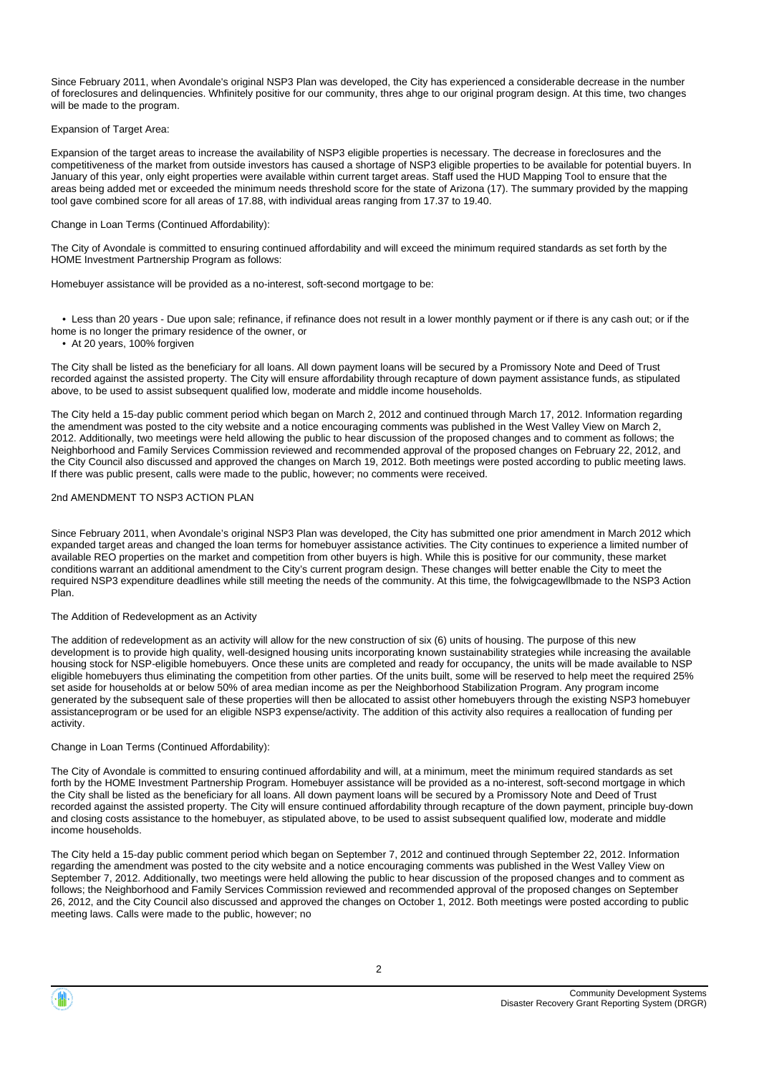Since February 2011, when Avondale's original NSP3 Plan was developed, the City has experienced a considerable decrease in the number of foreclosures and delinquencies. Whfinitely positive for our community, thres ahge to our original program design. At this time, two changes will be made to the program.

#### Expansion of Target Area:

Expansion of the target areas to increase the availability of NSP3 eligible properties is necessary. The decrease in foreclosures and the competitiveness of the market from outside investors has caused a shortage of NSP3 eligible properties to be available for potential buyers. In January of this year, only eight properties were available within current target areas. Staff used the HUD Mapping Tool to ensure that the areas being added met or exceeded the minimum needs threshold score for the state of Arizona (17). The summary provided by the mapping tool gave combined score for all areas of 17.88, with individual areas ranging from 17.37 to 19.40.

#### Change in Loan Terms (Continued Affordability):

The City of Avondale is committed to ensuring continued affordability and will exceed the minimum required standards as set forth by the HOME Investment Partnership Program as follows:

Homebuyer assistance will be provided as a no-interest, soft-second mortgage to be:

• Less than 20 years - Due upon sale; refinance, if refinance does not result in a lower monthly payment or if there is any cash out; or if the

- home is no longer the primary residence of the owner, or
	- At 20 years, 100% forgiven

The City shall be listed as the beneficiary for all loans. All down payment loans will be secured by a Promissory Note and Deed of Trust recorded against the assisted property. The City will ensure affordability through recapture of down payment assistance funds, as stipulated above, to be used to assist subsequent qualified low, moderate and middle income households.

The City held a 15-day public comment period which began on March 2, 2012 and continued through March 17, 2012. Information regarding the amendment was posted to the city website and a notice encouraging comments was published in the West Valley View on March 2, 2012. Additionally, two meetings were held allowing the public to hear discussion of the proposed changes and to comment as follows; the Neighborhood and Family Services Commission reviewed and recommended approval of the proposed changes on February 22, 2012, and the City Council also discussed and approved the changes on March 19, 2012. Both meetings were posted according to public meeting laws. If there was public present, calls were made to the public, however; no comments were received.

#### 2nd AMENDMENT TO NSP3 ACTION PLAN

Since February 2011, when Avondale's original NSP3 Plan was developed, the City has submitted one prior amendment in March 2012 which expanded target areas and changed the loan terms for homebuyer assistance activities. The City continues to experience a limited number of available REO properties on the market and competition from other buyers is high. While this is positive for our community, these market conditions warrant an additional amendment to the City's current program design. These changes will better enable the City to meet the required NSP3 expenditure deadlines while still meeting the needs of the community. At this time, the folwigcagewllbmade to the NSP3 Action Plan.

#### The Addition of Redevelopment as an Activity

The addition of redevelopment as an activity will allow for the new construction of six (6) units of housing. The purpose of this new development is to provide high quality, well-designed housing units incorporating known sustainability strategies while increasing the available housing stock for NSP-eligible homebuyers. Once these units are completed and ready for occupancy, the units will be made available to NSP eligible homebuyers thus eliminating the competition from other parties. Of the units built, some will be reserved to help meet the required 25% set aside for households at or below 50% of area median income as per the Neighborhood Stabilization Program. Any program income generated by the subsequent sale of these properties will then be allocated to assist other homebuyers through the existing NSP3 homebuyer assistanceprogram or be used for an eligible NSP3 expense/activity. The addition of this activity also requires a reallocation of funding per activity.

#### Change in Loan Terms (Continued Affordability):

The City of Avondale is committed to ensuring continued affordability and will, at a minimum, meet the minimum required standards as set forth by the HOME Investment Partnership Program. Homebuyer assistance will be provided as a no-interest, soft-second mortgage in which the City shall be listed as the beneficiary for all loans. All down payment loans will be secured by a Promissory Note and Deed of Trust recorded against the assisted property. The City will ensure continued affordability through recapture of the down payment, principle buy-down and closing costs assistance to the homebuyer, as stipulated above, to be used to assist subsequent qualified low, moderate and middle income households.

The City held a 15-day public comment period which began on September 7, 2012 and continued through September 22, 2012. Information regarding the amendment was posted to the city website and a notice encouraging comments was published in the West Valley View on September 7, 2012. Additionally, two meetings were held allowing the public to hear discussion of the proposed changes and to comment as follows; the Neighborhood and Family Services Commission reviewed and recommended approval of the proposed changes on September 26, 2012, and the City Council also discussed and approved the changes on October 1, 2012. Both meetings were posted according to public meeting laws. Calls were made to the public, however; no

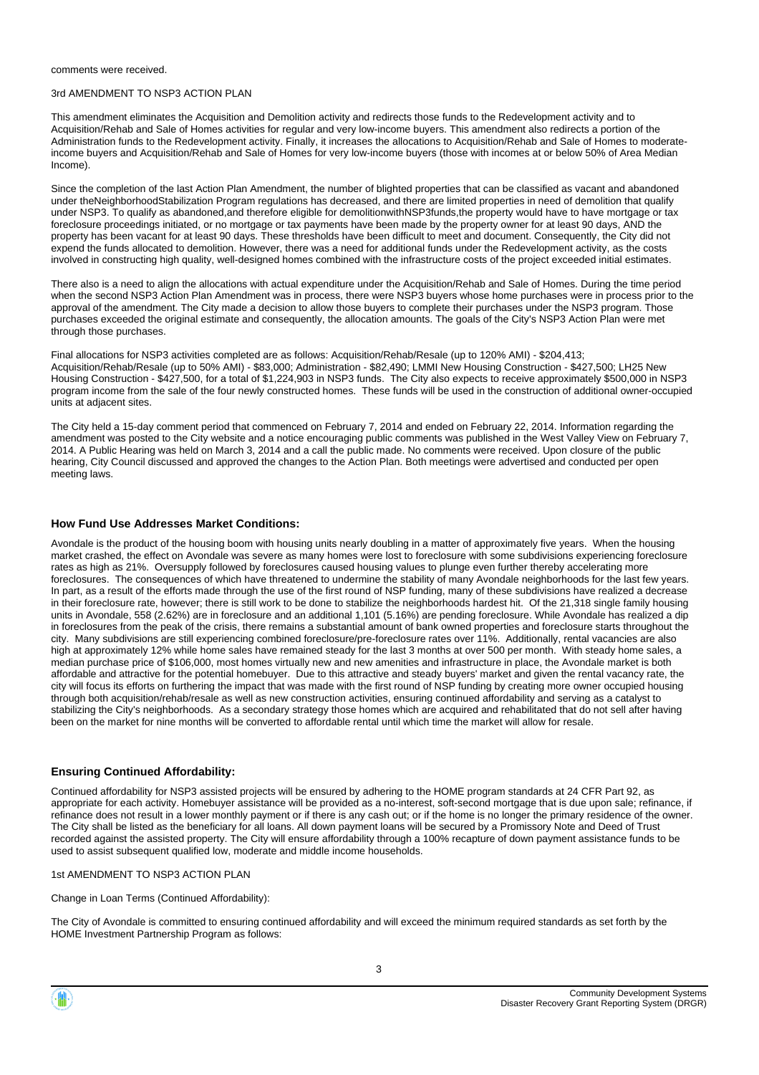comments were received.

#### 3rd AMENDMENT TO NSP3 ACTION PLAN

This amendment eliminates the Acquisition and Demolition activity and redirects those funds to the Redevelopment activity and to Acquisition/Rehab and Sale of Homes activities for regular and very low-income buyers. This amendment also redirects a portion of the Administration funds to the Redevelopment activity. Finally, it increases the allocations to Acquisition/Rehab and Sale of Homes to moderateincome buyers and Acquisition/Rehab and Sale of Homes for very low-income buyers (those with incomes at or below 50% of Area Median Income).

Since the completion of the last Action Plan Amendment, the number of blighted properties that can be classified as vacant and abandoned under theNeighborhoodStabilization Program regulations has decreased, and there are limited properties in need of demolition that qualify under NSP3. To qualify as abandoned,and therefore eligible for demolitionwithNSP3funds,the property would have to have mortgage or tax foreclosure proceedings initiated, or no mortgage or tax payments have been made by the property owner for at least 90 days, AND the property has been vacant for at least 90 days. These thresholds have been difficult to meet and document. Consequently, the City did not expend the funds allocated to demolition. However, there was a need for additional funds under the Redevelopment activity, as the costs involved in constructing high quality, well-designed homes combined with the infrastructure costs of the project exceeded initial estimates.

There also is a need to align the allocations with actual expenditure under the Acquisition/Rehab and Sale of Homes. During the time period when the second NSP3 Action Plan Amendment was in process, there were NSP3 buyers whose home purchases were in process prior to the approval of the amendment. The City made a decision to allow those buyers to complete their purchases under the NSP3 program. Those purchases exceeded the original estimate and consequently, the allocation amounts. The goals of the City's NSP3 Action Plan were met through those purchases.

Final allocations for NSP3 activities completed are as follows: Acquisition/Rehab/Resale (up to 120% AMI) - \$204,413; Acquisition/Rehab/Resale (up to 50% AMI) - \$83,000; Administration - \$82,490; LMMI New Housing Construction - \$427,500; LH25 New Housing Construction - \$427,500, for a total of \$1,224,903 in NSP3 funds. The City also expects to receive approximately \$500,000 in NSP3 program income from the sale of the four newly constructed homes. These funds will be used in the construction of additional owner-occupied units at adjacent sites.

The City held a 15-day comment period that commenced on February 7, 2014 and ended on February 22, 2014. Information regarding the amendment was posted to the City website and a notice encouraging public comments was published in the West Valley View on February 7, 2014. A Public Hearing was held on March 3, 2014 and a call the public made. No comments were received. Upon closure of the public hearing, City Council discussed and approved the changes to the Action Plan. Both meetings were advertised and conducted per open meeting laws.

#### **How Fund Use Addresses Market Conditions:**

Avondale is the product of the housing boom with housing units nearly doubling in a matter of approximately five years. When the housing market crashed, the effect on Avondale was severe as many homes were lost to foreclosure with some subdivisions experiencing foreclosure rates as high as 21%. Oversupply followed by foreclosures caused housing values to plunge even further thereby accelerating more foreclosures. The consequences of which have threatened to undermine the stability of many Avondale neighborhoods for the last few years. In part, as a result of the efforts made through the use of the first round of NSP funding, many of these subdivisions have realized a decrease in their foreclosure rate, however; there is still work to be done to stabilize the neighborhoods hardest hit. Of the 21,318 single family housing units in Avondale, 558 (2.62%) are in foreclosure and an additional 1,101 (5.16%) are pending foreclosure. While Avondale has realized a dip in foreclosures from the peak of the crisis, there remains a substantial amount of bank owned properties and foreclosure starts throughout the city. Many subdivisions are still experiencing combined foreclosure/pre-foreclosure rates over 11%. Additionally, rental vacancies are also high at approximately 12% while home sales have remained steady for the last 3 months at over 500 per month. With steady home sales, a median purchase price of \$106,000, most homes virtually new and new amenities and infrastructure in place, the Avondale market is both affordable and attractive for the potential homebuyer. Due to this attractive and steady buyers' market and given the rental vacancy rate, the city will focus its efforts on furthering the impact that was made with the first round of NSP funding by creating more owner occupied housing through both acquisition/rehab/resale as well as new construction activities, ensuring continued affordability and serving as a catalyst to stabilizing the City's neighborhoods. As a secondary strategy those homes which are acquired and rehabilitated that do not sell after having been on the market for nine months will be converted to affordable rental until which time the market will allow for resale.

#### **Ensuring Continued Affordability:**

Continued affordability for NSP3 assisted projects will be ensured by adhering to the HOME program standards at 24 CFR Part 92, as appropriate for each activity. Homebuyer assistance will be provided as a no-interest, soft-second mortgage that is due upon sale; refinance, if refinance does not result in a lower monthly payment or if there is any cash out; or if the home is no longer the primary residence of the owner. The City shall be listed as the beneficiary for all loans. All down payment loans will be secured by a Promissory Note and Deed of Trust recorded against the assisted property. The City will ensure affordability through a 100% recapture of down payment assistance funds to be used to assist subsequent qualified low, moderate and middle income households.

#### 1st AMENDMENT TO NSP3 ACTION PLAN

Change in Loan Terms (Continued Affordability):

The City of Avondale is committed to ensuring continued affordability and will exceed the minimum required standards as set forth by the HOME Investment Partnership Program as follows:

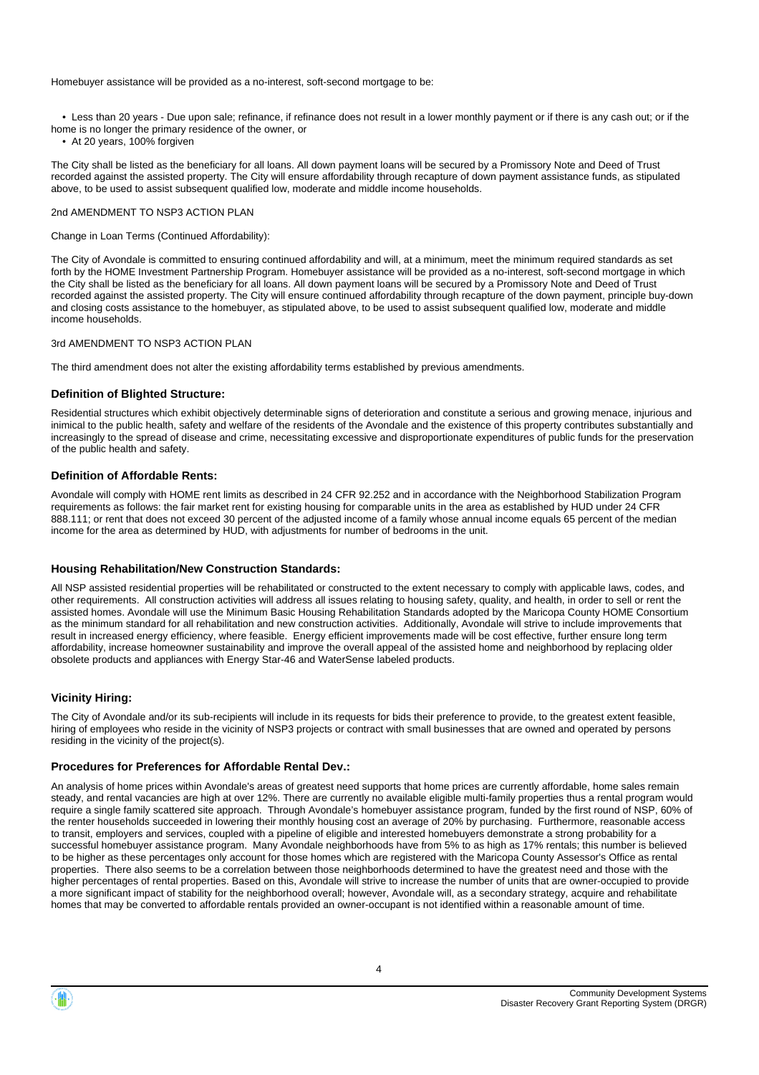Homebuyer assistance will be provided as a no-interest, soft-second mortgage to be:

• Less than 20 years - Due upon sale; refinance, if refinance does not result in a lower monthly payment or if there is any cash out; or if the

- home is no longer the primary residence of the owner, or
- At 20 years, 100% forgiven

The City shall be listed as the beneficiary for all loans. All down payment loans will be secured by a Promissory Note and Deed of Trust recorded against the assisted property. The City will ensure affordability through recapture of down payment assistance funds, as stipulated above, to be used to assist subsequent qualified low, moderate and middle income households.

#### 2nd AMENDMENT TO NSP3 ACTION PLAN

#### Change in Loan Terms (Continued Affordability):

The City of Avondale is committed to ensuring continued affordability and will, at a minimum, meet the minimum required standards as set forth by the HOME Investment Partnership Program. Homebuyer assistance will be provided as a no-interest, soft-second mortgage in which the City shall be listed as the beneficiary for all loans. All down payment loans will be secured by a Promissory Note and Deed of Trust recorded against the assisted property. The City will ensure continued affordability through recapture of the down payment, principle buy-down and closing costs assistance to the homebuyer, as stipulated above, to be used to assist subsequent qualified low, moderate and middle income households.

#### 3rd AMENDMENT TO NSP3 ACTION PLAN

The third amendment does not alter the existing affordability terms established by previous amendments.

#### **Definition of Blighted Structure:**

Residential structures which exhibit objectively determinable signs of deterioration and constitute a serious and growing menace, injurious and inimical to the public health, safety and welfare of the residents of the Avondale and the existence of this property contributes substantially and increasingly to the spread of disease and crime, necessitating excessive and disproportionate expenditures of public funds for the preservation of the public health and safety.

#### **Definition of Affordable Rents:**

Avondale will comply with HOME rent limits as described in 24 CFR 92.252 and in accordance with the Neighborhood Stabilization Program requirements as follows: the fair market rent for existing housing for comparable units in the area as established by HUD under 24 CFR 888.111; or rent that does not exceed 30 percent of the adjusted income of a family whose annual income equals 65 percent of the median income for the area as determined by HUD, with adjustments for number of bedrooms in the unit.

#### **Housing Rehabilitation/New Construction Standards:**

All NSP assisted residential properties will be rehabilitated or constructed to the extent necessary to comply with applicable laws, codes, and other requirements. All construction activities will address all issues relating to housing safety, quality, and health, in order to sell or rent the assisted homes. Avondale will use the Minimum Basic Housing Rehabilitation Standards adopted by the Maricopa County HOME Consortium as the minimum standard for all rehabilitation and new construction activities. Additionally, Avondale will strive to include improvements that result in increased energy efficiency, where feasible. Energy efficient improvements made will be cost effective, further ensure long term affordability, increase homeowner sustainability and improve the overall appeal of the assisted home and neighborhood by replacing older obsolete products and appliances with Energy Star-46 and WaterSense labeled products.

#### **Vicinity Hiring:**

The City of Avondale and/or its sub-recipients will include in its requests for bids their preference to provide, to the greatest extent feasible, hiring of employees who reside in the vicinity of NSP3 projects or contract with small businesses that are owned and operated by persons residing in the vicinity of the project(s).

#### **Procedures for Preferences for Affordable Rental Dev.:**

An analysis of home prices within Avondale's areas of greatest need supports that home prices are currently affordable, home sales remain steady, and rental vacancies are high at over 12%. There are currently no available eligible multi-family properties thus a rental program would require a single family scattered site approach. Through Avondale's homebuyer assistance program, funded by the first round of NSP, 60% of the renter households succeeded in lowering their monthly housing cost an average of 20% by purchasing. Furthermore, reasonable access to transit, employers and services, coupled with a pipeline of eligible and interested homebuyers demonstrate a strong probability for a successful homebuyer assistance program. Many Avondale neighborhoods have from 5% to as high as 17% rentals; this number is believed to be higher as these percentages only account for those homes which are registered with the Maricopa County Assessor's Office as rental properties. There also seems to be a correlation between those neighborhoods determined to have the greatest need and those with the higher percentages of rental properties. Based on this, Avondale will strive to increase the number of units that are owner-occupied to provide a more significant impact of stability for the neighborhood overall; however, Avondale will, as a secondary strategy, acquire and rehabilitate homes that may be converted to affordable rentals provided an owner-occupant is not identified within a reasonable amount of time.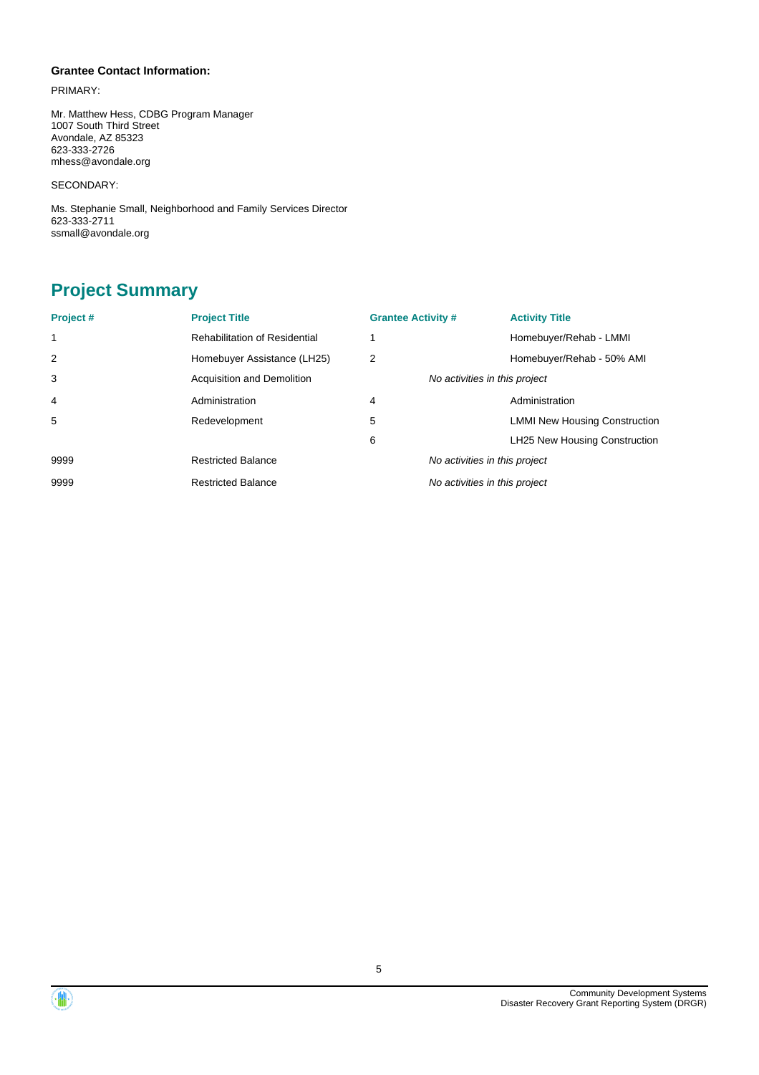#### **Grantee Contact Information:**

PRIMARY:

Mr. Matthew Hess, CDBG Program Manager 1007 South Third Street Avondale, AZ 85323 623-333-2726 mhess@avondale.org

SECONDARY:

Ms. Stephanie Small, Neighborhood and Family Services Director 623-333-2711 ssmall@avondale.org

## **Project Summary**

| Project# | <b>Project Title</b>                 | <b>Grantee Activity #</b>     | <b>Activity Title</b>                |
|----------|--------------------------------------|-------------------------------|--------------------------------------|
| 1        | <b>Rehabilitation of Residential</b> |                               | Homebuyer/Rehab - LMMI               |
| 2        | Homebuyer Assistance (LH25)          | 2                             | Homebuyer/Rehab - 50% AMI            |
| 3        | Acquisition and Demolition           | No activities in this project |                                      |
| 4        | Administration                       | 4                             | Administration                       |
| 5        | Redevelopment                        | 5                             | <b>LMMI New Housing Construction</b> |
|          |                                      | 6                             | LH25 New Housing Construction        |
| 9999     | <b>Restricted Balance</b>            | No activities in this project |                                      |
| 9999     | <b>Restricted Balance</b>            | No activities in this project |                                      |

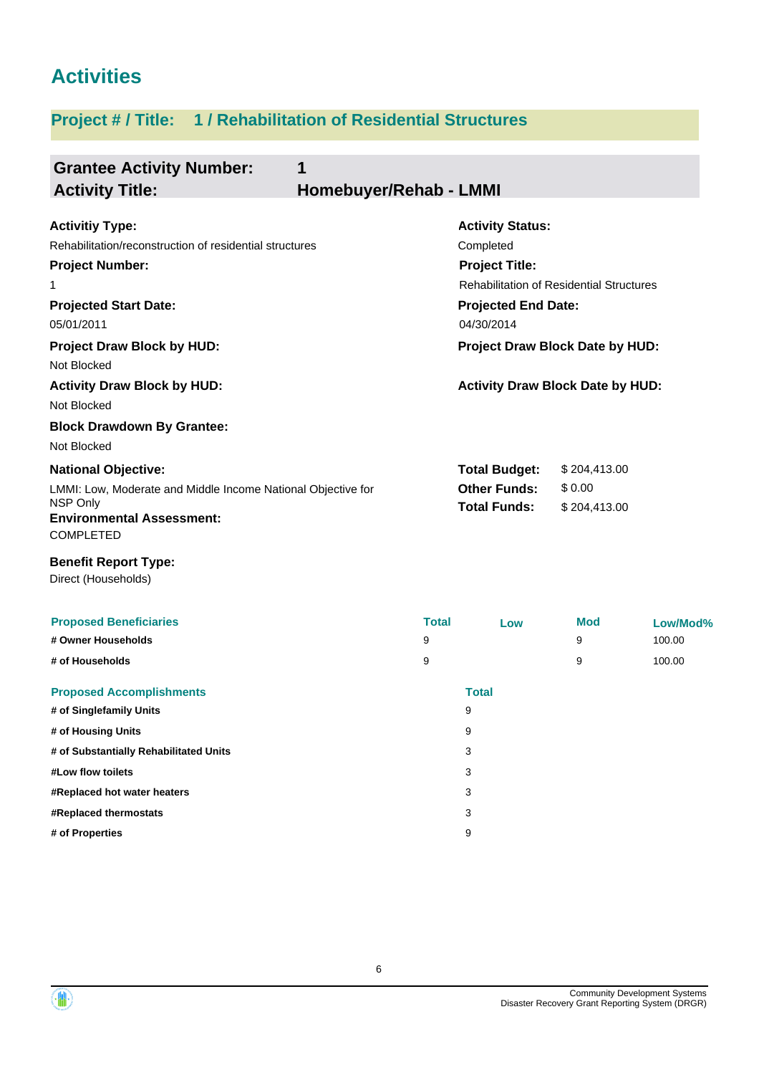# **Activities**

# **Project # / Title: 1 / Rehabilitation of Residential Structures**

**# of Singlefamily Units** 9 **# of Housing Units** 9 **# of Substantially Rehabilitated Units** 3 **#Low flow toilets** 3 **#Replaced hot water heaters** 3 **#Replaced thermostats** 3 **# of Properties** 9

| <b>Grantee Activity Number:</b><br>1<br><b>Activity Title:</b>                                                                                                                | Homebuyer/Rehab - LMMI |                                                                                                                                                              |                                        |                              |
|-------------------------------------------------------------------------------------------------------------------------------------------------------------------------------|------------------------|--------------------------------------------------------------------------------------------------------------------------------------------------------------|----------------------------------------|------------------------------|
| <b>Activitiy Type:</b><br>Rehabilitation/reconstruction of residential structures<br><b>Project Number:</b><br>1<br><b>Projected Start Date:</b><br>05/01/2011                |                        | <b>Activity Status:</b><br>Completed<br><b>Project Title:</b><br><b>Rehabilitation of Residential Structures</b><br><b>Projected End Date:</b><br>04/30/2014 |                                        |                              |
| <b>Project Draw Block by HUD:</b><br>Not Blocked<br><b>Activity Draw Block by HUD:</b><br>Not Blocked<br><b>Block Drawdown By Grantee:</b>                                    |                        | Project Draw Block Date by HUD:<br><b>Activity Draw Block Date by HUD:</b>                                                                                   |                                        |                              |
| Not Blocked<br><b>National Objective:</b><br>LMMI: Low, Moderate and Middle Income National Objective for<br>NSP Only<br><b>Environmental Assessment:</b><br><b>COMPLETED</b> |                        | <b>Total Budget:</b><br><b>Other Funds:</b><br><b>Total Funds:</b>                                                                                           | \$204,413.00<br>\$0.00<br>\$204,413.00 |                              |
| <b>Benefit Report Type:</b><br>Direct (Households)                                                                                                                            |                        |                                                                                                                                                              |                                        |                              |
| <b>Proposed Beneficiaries</b><br># Owner Households<br># of Households                                                                                                        | <b>Total</b><br>9<br>9 | Low                                                                                                                                                          | <b>Mod</b><br>9<br>9                   | Low/Mod%<br>100.00<br>100.00 |
| <b>Proposed Accomplishments</b>                                                                                                                                               |                        | <b>Total</b>                                                                                                                                                 |                                        |                              |



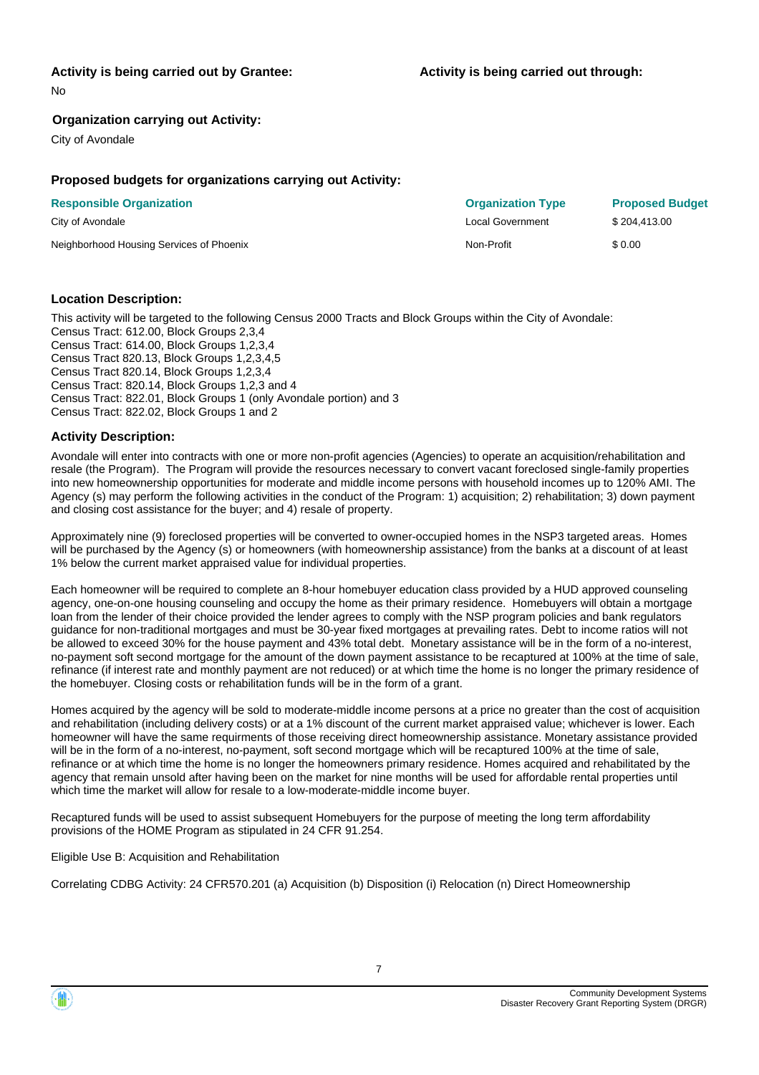## **Activity is being carried out by Grantee:**

No

### **Organization carrying out Activity:**

City of Avondale

### **Proposed budgets for organizations carrying out Activity:**

| <b>Responsible Organization</b>          | <b>Organization Type</b> | <b>Proposed Budget</b> |
|------------------------------------------|--------------------------|------------------------|
| City of Avondale                         | Local Government         | \$204.413.00           |
| Neighborhood Housing Services of Phoenix | Non-Profit               | \$0.00                 |

## **Location Description:**

This activity will be targeted to the following Census 2000 Tracts and Block Groups within the City of Avondale: Census Tract: 612.00, Block Groups 2,3,4 Census Tract: 614.00, Block Groups 1,2,3,4 Census Tract 820.13, Block Groups 1,2,3,4,5 Census Tract 820.14, Block Groups 1,2,3,4 Census Tract: 820.14, Block Groups 1,2,3 and 4 Census Tract: 822.01, Block Groups 1 (only Avondale portion) and 3 Census Tract: 822.02, Block Groups 1 and 2

## **Activity Description:**

Avondale will enter into contracts with one or more non-profit agencies (Agencies) to operate an acquisition/rehabilitation and resale (the Program). The Program will provide the resources necessary to convert vacant foreclosed single-family properties into new homeownership opportunities for moderate and middle income persons with household incomes up to 120% AMI. The Agency (s) may perform the following activities in the conduct of the Program: 1) acquisition; 2) rehabilitation; 3) down payment and closing cost assistance for the buyer; and 4) resale of property.

Approximately nine (9) foreclosed properties will be converted to owner-occupied homes in the NSP3 targeted areas. Homes will be purchased by the Agency (s) or homeowners (with homeownership assistance) from the banks at a discount of at least 1% below the current market appraised value for individual properties.

Each homeowner will be required to complete an 8-hour homebuyer education class provided by a HUD approved counseling agency, one-on-one housing counseling and occupy the home as their primary residence. Homebuyers will obtain a mortgage loan from the lender of their choice provided the lender agrees to comply with the NSP program policies and bank regulators guidance for non-traditional mortgages and must be 30-year fixed mortgages at prevailing rates. Debt to income ratios will not be allowed to exceed 30% for the house payment and 43% total debt. Monetary assistance will be in the form of a no-interest, no-payment soft second mortgage for the amount of the down payment assistance to be recaptured at 100% at the time of sale, refinance (if interest rate and monthly payment are not reduced) or at which time the home is no longer the primary residence of the homebuyer. Closing costs or rehabilitation funds will be in the form of a grant.

Homes acquired by the agency will be sold to moderate-middle income persons at a price no greater than the cost of acquisition and rehabilitation (including delivery costs) or at a 1% discount of the current market appraised value; whichever is lower. Each homeowner will have the same requirments of those receiving direct homeownership assistance. Monetary assistance provided will be in the form of a no-interest, no-payment, soft second mortgage which will be recaptured 100% at the time of sale, refinance or at which time the home is no longer the homeowners primary residence. Homes acquired and rehabilitated by the agency that remain unsold after having been on the market for nine months will be used for affordable rental properties until which time the market will allow for resale to a low-moderate-middle income buyer.

Recaptured funds will be used to assist subsequent Homebuyers for the purpose of meeting the long term affordability provisions of the HOME Program as stipulated in 24 CFR 91.254.

Eligible Use B: Acquisition and Rehabilitation

Correlating CDBG Activity: 24 CFR570.201 (a) Acquisition (b) Disposition (i) Relocation (n) Direct Homeownership

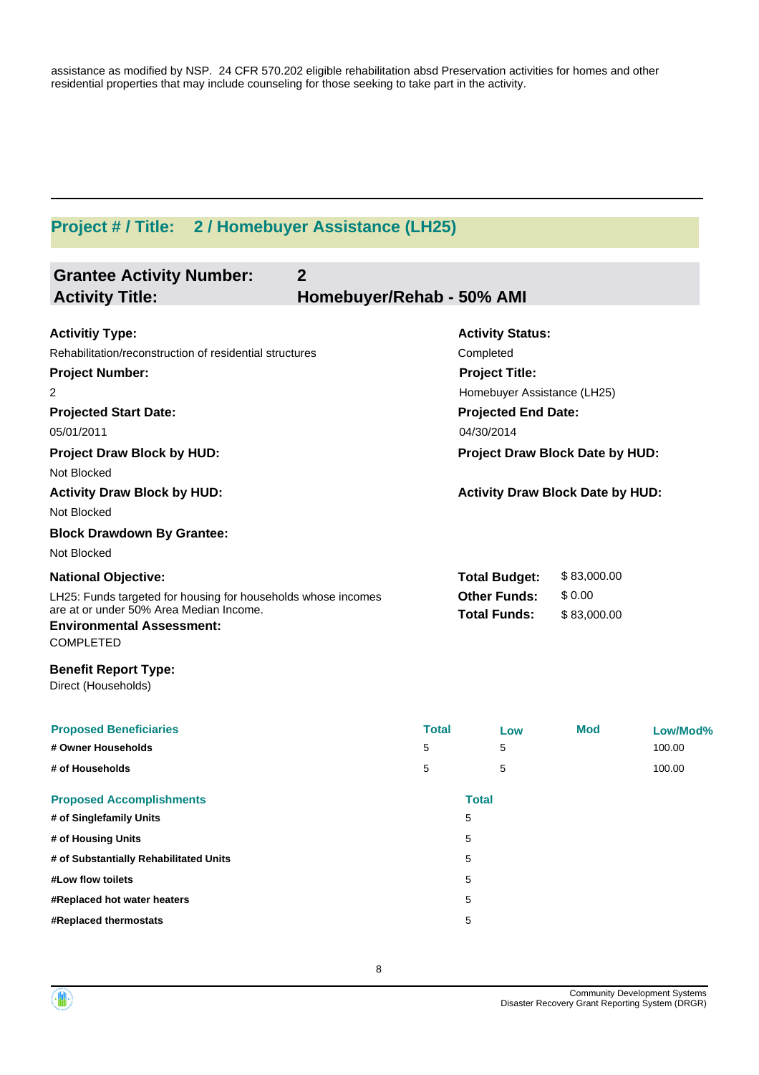assistance as modified by NSP. 24 CFR 570.202 eligible rehabilitation absd Preservation activities for homes and other residential properties that may include counseling for those seeking to take part in the activity.

# **Project # / Title: 2 / Homebuyer Assistance (LH25)**

| Rehabilitation/reconstruction of residential structures       |                |               |                                                                                                                                                                                                                         |                                                                                                                                         |
|---------------------------------------------------------------|----------------|---------------|-------------------------------------------------------------------------------------------------------------------------------------------------------------------------------------------------------------------------|-----------------------------------------------------------------------------------------------------------------------------------------|
| LH25: Funds targeted for housing for households whose incomes |                |               | \$83,000.00<br>\$0.00<br>\$83,000.00                                                                                                                                                                                    |                                                                                                                                         |
|                                                               |                |               |                                                                                                                                                                                                                         |                                                                                                                                         |
| 5<br>5                                                        |                | Low<br>5<br>5 | <b>Mod</b>                                                                                                                                                                                                              | Low/Mod%<br>100.00<br>100.00                                                                                                            |
|                                                               |                |               |                                                                                                                                                                                                                         |                                                                                                                                         |
|                                                               | $\overline{2}$ | <b>Total</b>  | Homebuyer/Rehab - 50% AMI<br><b>Activity Status:</b><br>Completed<br><b>Project Title:</b><br>04/30/2014<br><b>Total Budget:</b><br><b>Other Funds:</b><br><b>Total Funds:</b><br><b>Total</b><br>5<br>5<br>5<br>5<br>5 | Homebuyer Assistance (LH25)<br><b>Projected End Date:</b><br>Project Draw Block Date by HUD:<br><b>Activity Draw Block Date by HUD:</b> |

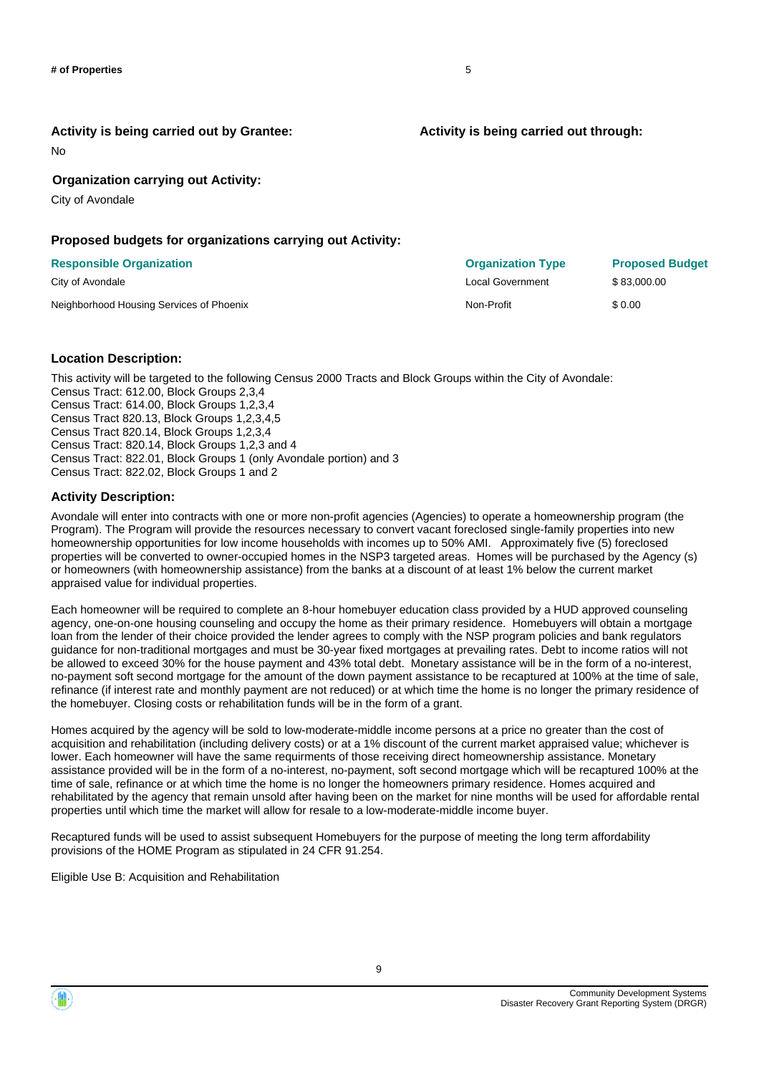**Activity is being carried out through:**

**Activity is being carried out by Grantee:**

No

## **Organization carrying out Activity:**

City of Avondale

### **Proposed budgets for organizations carrying out Activity:**

| <b>Responsible Organization</b>          | <b>Organization Type</b> | <b>Proposed Budget</b> |
|------------------------------------------|--------------------------|------------------------|
| City of Avondale                         | Local Government         | \$83,000.00            |
| Neighborhood Housing Services of Phoenix | Non-Profit               | \$0.00                 |

### **Location Description:**

This activity will be targeted to the following Census 2000 Tracts and Block Groups within the City of Avondale: Census Tract: 612.00, Block Groups 2,3,4 Census Tract: 614.00, Block Groups 1,2,3,4 Census Tract 820.13, Block Groups 1,2,3,4,5 Census Tract 820.14, Block Groups 1,2,3,4 Census Tract: 820.14, Block Groups 1,2,3 and 4 Census Tract: 822.01, Block Groups 1 (only Avondale portion) and 3 Census Tract: 822.02, Block Groups 1 and 2

### **Activity Description:**

Avondale will enter into contracts with one or more non-profit agencies (Agencies) to operate a homeownership program (the Program). The Program will provide the resources necessary to convert vacant foreclosed single-family properties into new homeownership opportunities for low income households with incomes up to 50% AMI. Approximately five (5) foreclosed properties will be converted to owner-occupied homes in the NSP3 targeted areas. Homes will be purchased by the Agency (s) or homeowners (with homeownership assistance) from the banks at a discount of at least 1% below the current market appraised value for individual properties.

Each homeowner will be required to complete an 8-hour homebuyer education class provided by a HUD approved counseling agency, one-on-one housing counseling and occupy the home as their primary residence. Homebuyers will obtain a mortgage loan from the lender of their choice provided the lender agrees to comply with the NSP program policies and bank regulators guidance for non-traditional mortgages and must be 30-year fixed mortgages at prevailing rates. Debt to income ratios will not be allowed to exceed 30% for the house payment and 43% total debt. Monetary assistance will be in the form of a no-interest, no-payment soft second mortgage for the amount of the down payment assistance to be recaptured at 100% at the time of sale, refinance (if interest rate and monthly payment are not reduced) or at which time the home is no longer the primary residence of the homebuyer. Closing costs or rehabilitation funds will be in the form of a grant.

Homes acquired by the agency will be sold to low-moderate-middle income persons at a price no greater than the cost of acquisition and rehabilitation (including delivery costs) or at a 1% discount of the current market appraised value; whichever is lower. Each homeowner will have the same requirments of those receiving direct homeownership assistance. Monetary assistance provided will be in the form of a no-interest, no-payment, soft second mortgage which will be recaptured 100% at the time of sale, refinance or at which time the home is no longer the homeowners primary residence. Homes acquired and rehabilitated by the agency that remain unsold after having been on the market for nine months will be used for affordable rental properties until which time the market will allow for resale to a low-moderate-middle income buyer.

Recaptured funds will be used to assist subsequent Homebuyers for the purpose of meeting the long term affordability provisions of the HOME Program as stipulated in 24 CFR 91.254.

Eligible Use B: Acquisition and Rehabilitation

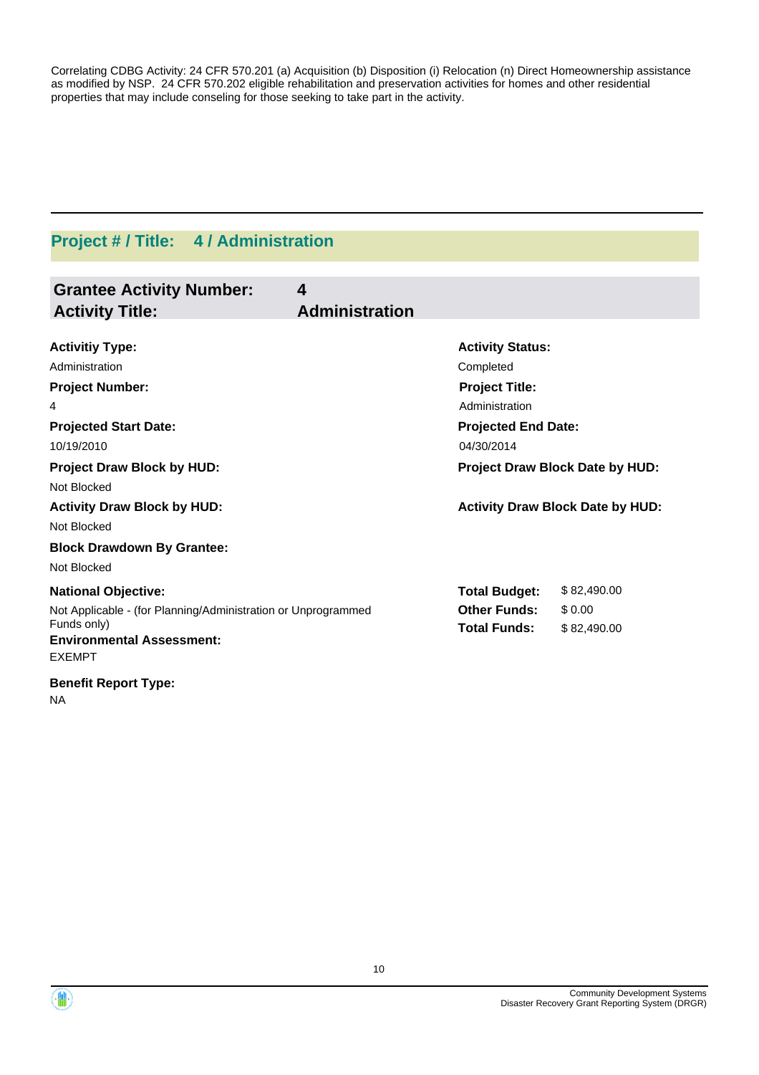Correlating CDBG Activity: 24 CFR 570.201 (a) Acquisition (b) Disposition (i) Relocation (n) Direct Homeownership assistance as modified by NSP. 24 CFR 570.202 eligible rehabilitation and preservation activities for homes and other residential properties that may include conseling for those seeking to take part in the activity.

# **Project # / Title: 4 / Administration**

| <b>Grantee Activity Number:</b><br><b>Activity Title:</b>     | 4<br><b>Administration</b> |                            |                                         |
|---------------------------------------------------------------|----------------------------|----------------------------|-----------------------------------------|
| <b>Activitiy Type:</b>                                        |                            | <b>Activity Status:</b>    |                                         |
| Administration                                                |                            | Completed                  |                                         |
| <b>Project Number:</b>                                        |                            | <b>Project Title:</b>      |                                         |
| 4                                                             |                            | Administration             |                                         |
| <b>Projected Start Date:</b>                                  |                            | <b>Projected End Date:</b> |                                         |
| 10/19/2010                                                    |                            | 04/30/2014                 |                                         |
|                                                               |                            |                            |                                         |
| <b>Project Draw Block by HUD:</b>                             |                            |                            | Project Draw Block Date by HUD:         |
| Not Blocked                                                   |                            |                            |                                         |
| <b>Activity Draw Block by HUD:</b>                            |                            |                            | <b>Activity Draw Block Date by HUD:</b> |
| Not Blocked                                                   |                            |                            |                                         |
| <b>Block Drawdown By Grantee:</b>                             |                            |                            |                                         |
| Not Blocked                                                   |                            |                            |                                         |
| <b>National Objective:</b>                                    |                            | <b>Total Budget:</b>       | \$82,490.00                             |
| Not Applicable - (for Planning/Administration or Unprogrammed |                            | <b>Other Funds:</b>        | \$0.00                                  |
| Funds only)                                                   |                            | <b>Total Funds:</b>        | \$82,490.00                             |
| <b>Environmental Assessment:</b>                              |                            |                            |                                         |
| <b>EXEMPT</b>                                                 |                            |                            |                                         |
| <b>Benefit Report Type:</b>                                   |                            |                            |                                         |

NA

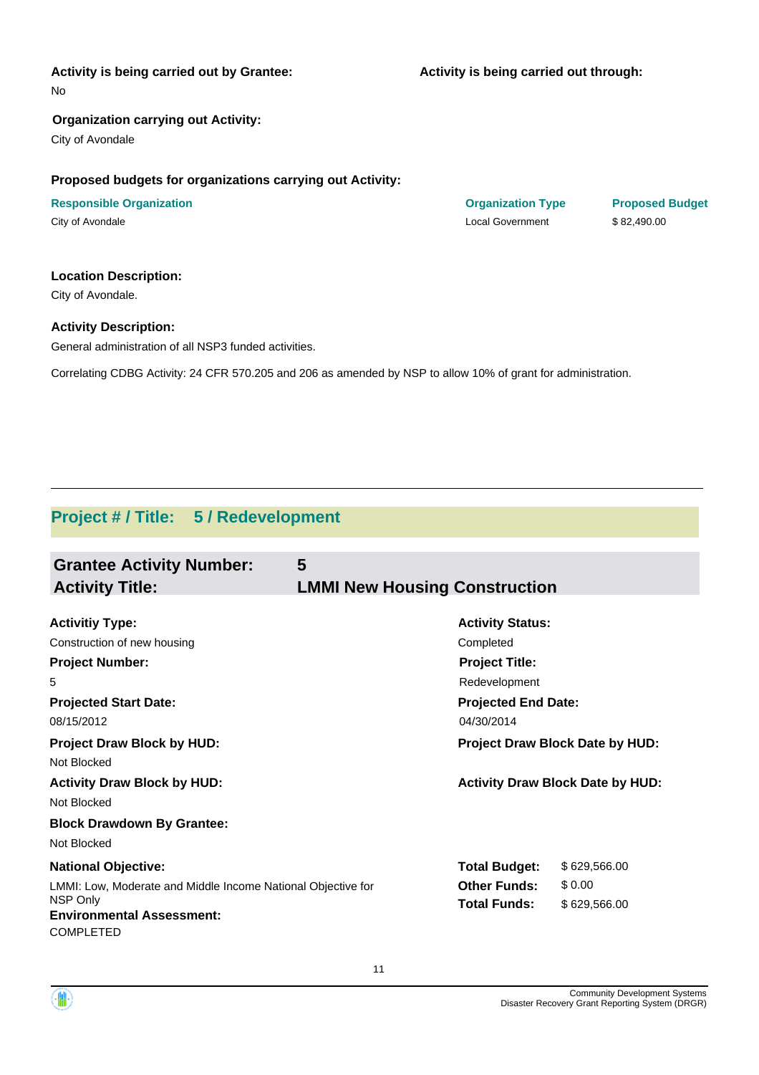## **Activity is being carried out by Grantee:**

**Activity is being carried out through:**

No

## **Organization carrying out Activity:**

City of Avondale

## **Proposed budgets for organizations carrying out Activity:**

**Responsible Organization COVID-10 COVID-10 Organization Type Proposed Budget** City of Avondale Local Government \$ 82,490.00

### **Location Description:**

City of Avondale.

## **Activity Description:**

General administration of all NSP3 funded activities.

Correlating CDBG Activity: 24 CFR 570.205 and 206 as amended by NSP to allow 10% of grant for administration.

## **Project # / Title: 5 / Redevelopment**

| <b>Grantee Activity Number:</b><br><b>Activity Title:</b>                                                                                                      | 5<br><b>LMMI New Housing Construction</b>                                                                    |  |
|----------------------------------------------------------------------------------------------------------------------------------------------------------------|--------------------------------------------------------------------------------------------------------------|--|
| <b>Activitiy Type:</b><br>Construction of new housing<br><b>Project Number:</b>                                                                                | <b>Activity Status:</b><br>Completed<br><b>Project Title:</b>                                                |  |
| 5<br><b>Projected Start Date:</b><br>08/15/2012                                                                                                                | Redevelopment<br><b>Projected End Date:</b><br>04/30/2014                                                    |  |
| <b>Project Draw Block by HUD:</b><br>Not Blocked<br><b>Activity Draw Block by HUD:</b>                                                                         | Project Draw Block Date by HUD:<br><b>Activity Draw Block Date by HUD:</b>                                   |  |
| Not Blocked<br><b>Block Drawdown By Grantee:</b><br>Not Blocked                                                                                                |                                                                                                              |  |
| <b>National Objective:</b><br>LMMI: Low, Moderate and Middle Income National Objective for<br>NSP Only<br><b>Environmental Assessment:</b><br><b>COMPLETED</b> | \$629,566.00<br><b>Total Budget:</b><br>\$0.00<br><b>Other Funds:</b><br><b>Total Funds:</b><br>\$629,566.00 |  |



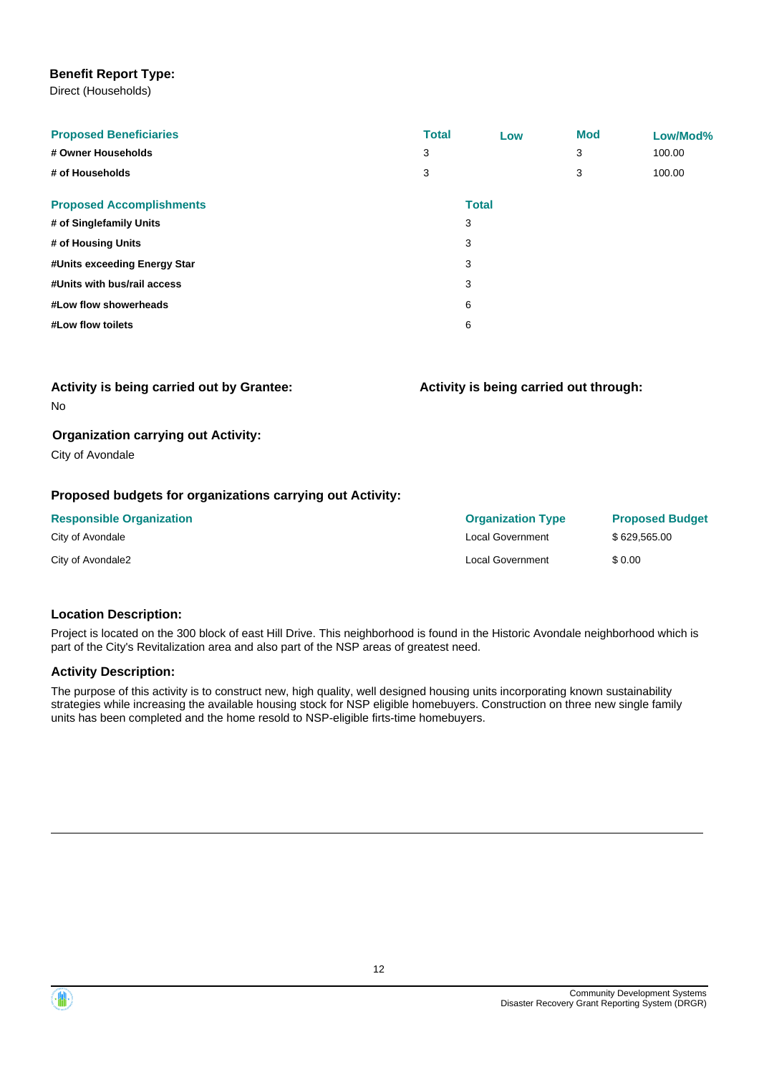## **Benefit Report Type:**

Direct (Households)

| <b>Proposed Beneficiaries</b><br># Owner Households<br># of Households | <b>Total</b><br>3<br>3 | Low          | <b>Mod</b><br>3<br>3 | Low/Mod%<br>100.00<br>100.00 |
|------------------------------------------------------------------------|------------------------|--------------|----------------------|------------------------------|
| <b>Proposed Accomplishments</b>                                        |                        | <b>Total</b> |                      |                              |
| # of Singlefamily Units                                                |                        | 3            |                      |                              |
| # of Housing Units                                                     |                        | 3            |                      |                              |
| #Units exceeding Energy Star                                           |                        | 3            |                      |                              |
| #Units with bus/rail access                                            |                        | 3            |                      |                              |
| #Low flow showerheads                                                  |                        | 6            |                      |                              |
| #Low flow toilets                                                      |                        | 6            |                      |                              |

**Activity is being carried out through:**

| <b>Activity is being carried out by Grantee:</b> |  |  |
|--------------------------------------------------|--|--|
| No                                               |  |  |

### **Organization carrying out Activity:**

City of Avondale

## **Proposed budgets for organizations carrying out Activity:**

| <b>Responsible Organization</b> | <b>Organization Type</b> | <b>Proposed Budget</b> |
|---------------------------------|--------------------------|------------------------|
| City of Avondale                | Local Government         | \$629.565.00           |
| City of Avondale2               | Local Government         | \$ 0.00                |

## **Location Description:**

Project is located on the 300 block of east Hill Drive. This neighborhood is found in the Historic Avondale neighborhood which is part of the City's Revitalization area and also part of the NSP areas of greatest need.

## **Activity Description:**

The purpose of this activity is to construct new, high quality, well designed housing units incorporating known sustainability strategies while increasing the available housing stock for NSP eligible homebuyers. Construction on three new single family units has been completed and the home resold to NSP-eligible firts-time homebuyers.



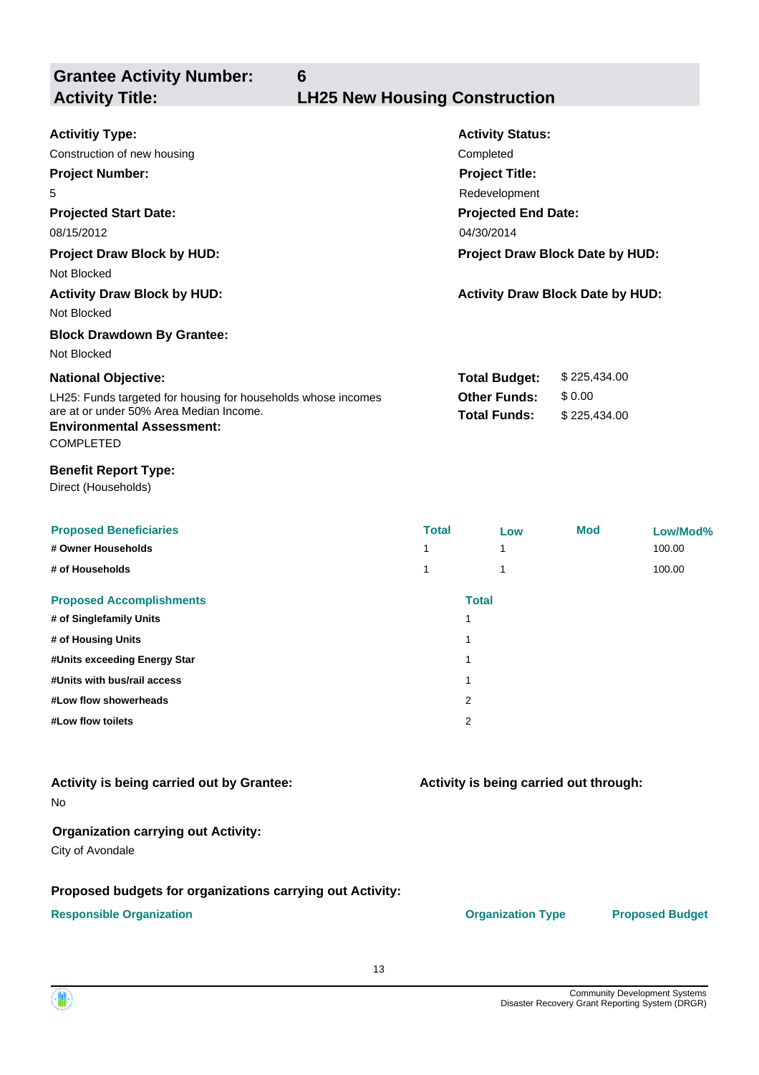**Grantee Activity Number:**

**6**

## **Activity Title: LH25 New Housing Construction**

| <b>Activitiy Type:</b>                                                                          |                                        | <b>Activity Status:</b>                 |              |          |
|-------------------------------------------------------------------------------------------------|----------------------------------------|-----------------------------------------|--------------|----------|
| Construction of new housing                                                                     |                                        | Completed                               |              |          |
| <b>Project Number:</b>                                                                          |                                        | <b>Project Title:</b>                   |              |          |
| 5                                                                                               |                                        | Redevelopment                           |              |          |
| <b>Projected Start Date:</b>                                                                    |                                        | <b>Projected End Date:</b>              |              |          |
| 08/15/2012                                                                                      |                                        | 04/30/2014                              |              |          |
| <b>Project Draw Block by HUD:</b>                                                               |                                        | Project Draw Block Date by HUD:         |              |          |
| Not Blocked                                                                                     |                                        |                                         |              |          |
| <b>Activity Draw Block by HUD:</b><br>Not Blocked                                               |                                        | <b>Activity Draw Block Date by HUD:</b> |              |          |
| <b>Block Drawdown By Grantee:</b>                                                               |                                        |                                         |              |          |
| Not Blocked                                                                                     |                                        |                                         |              |          |
| <b>National Objective:</b>                                                                      |                                        | <b>Total Budget:</b>                    | \$225,434.00 |          |
| LH25: Funds targeted for housing for households whose incomes                                   |                                        | <b>Other Funds:</b>                     | \$0.00       |          |
| are at or under 50% Area Median Income.<br><b>Environmental Assessment:</b><br><b>COMPLETED</b> |                                        | <b>Total Funds:</b>                     | \$225,434.00 |          |
| <b>Benefit Report Type:</b><br>Direct (Households)                                              |                                        |                                         |              |          |
| <b>Proposed Beneficiaries</b>                                                                   | <b>Total</b>                           | Low                                     | <b>Mod</b>   | Low/Mod% |
| # Owner Households                                                                              | 1                                      | 1                                       |              | 100.00   |
| # of Households                                                                                 | 1                                      | 1                                       |              | 100.00   |
| <b>Proposed Accomplishments</b>                                                                 |                                        | <b>Total</b>                            |              |          |
| # of Singlefamily Units                                                                         |                                        | 1                                       |              |          |
| # of Housing Units                                                                              |                                        | 1                                       |              |          |
| #Units exceeding Energy Star                                                                    |                                        | 1                                       |              |          |
| #Units with bus/rail access                                                                     |                                        | 1                                       |              |          |
| #Low flow showerheads                                                                           |                                        | 2                                       |              |          |
| #Low flow toilets                                                                               |                                        | 2                                       |              |          |
|                                                                                                 |                                        |                                         |              |          |
| Activity is being carried out by Grantee:                                                       | Activity is being carried out through: |                                         |              |          |

No

## **Organization carrying out Activity:**

City of Avondale

## **Proposed budgets for organizations carrying out Activity:**

## **Responsible Organization CONSERVIRGHT CONSERVIRGHT CONSERVIRGHT CONSERVIRGHT CONSERVIRGHT CONSERVIRGHT CONSERVIRGHT CONSERVIRGHT CONSERVIRGHT CONSERVIRGHT CONSERVIRGHT CONSERVIRGHT CONSERVIRGHT CONSERVIRGHT CONSERVIRGHT**

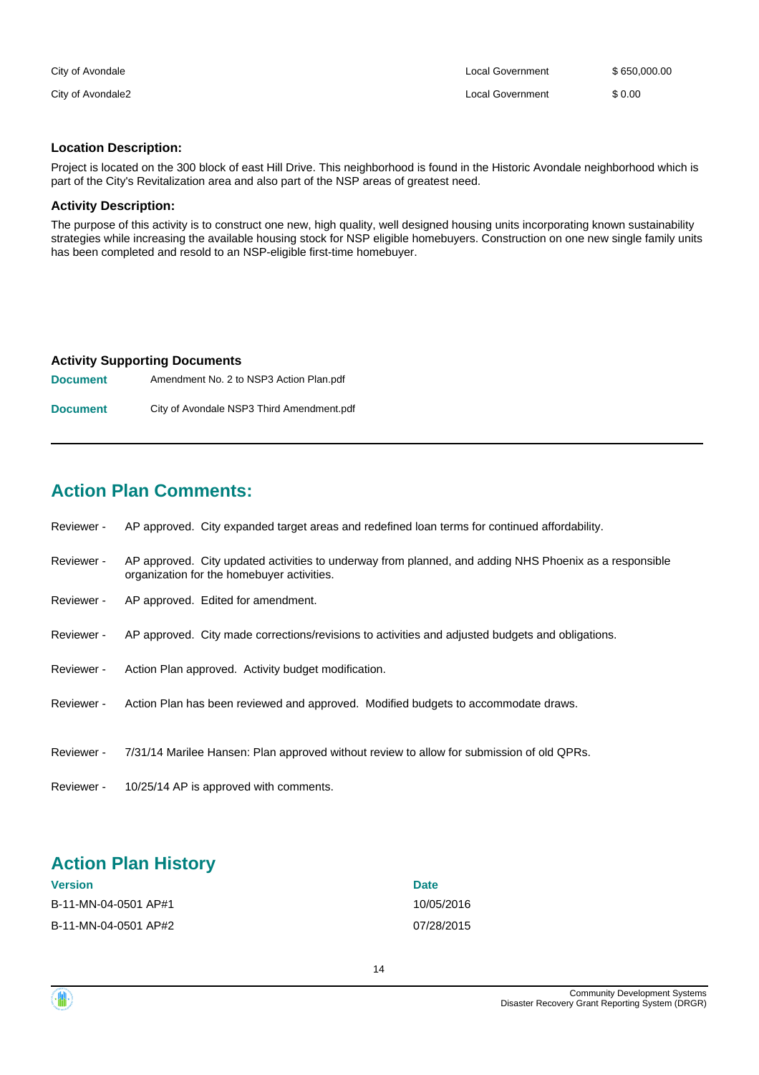| City of Avondale  | Local Government | \$650,000,00 |
|-------------------|------------------|--------------|
| City of Avondale2 | Local Government | \$0.00       |

## **Location Description:**

Project is located on the 300 block of east Hill Drive. This neighborhood is found in the Historic Avondale neighborhood which is part of the City's Revitalization area and also part of the NSP areas of greatest need.

## **Activity Description:**

The purpose of this activity is to construct one new, high quality, well designed housing units incorporating known sustainability strategies while increasing the available housing stock for NSP eligible homebuyers. Construction on one new single family units has been completed and resold to an NSP-eligible first-time homebuyer.

### **Activity Supporting Documents**

**Document** Amendment No. 2 to NSP3 Action Plan.pdf **Document** City of Avondale NSP3 Third Amendment.pdf

## **Action Plan Comments:**

- Reviewer AP approved. City expanded target areas and redefined loan terms for continued affordability.
- AP approved. City updated activities to underway from planned, and adding NHS Phoenix as a responsible organization for the homebuyer activities. Reviewer -
- Reviewer AP approved. Edited for amendment.
- Reviewer AP approved. City made corrections/revisions to activities and adjusted budgets and obligations.
- Reviewer Action Plan approved. Activity budget modification.
- Reviewer Action Plan has been reviewed and approved. Modified budgets to accommodate draws.
- Reviewer 7/31/14 Marilee Hansen: Plan approved without review to allow for submission of old QPRs.
- Reviewer 10/25/14 AP is approved with comments.

## **Action Plan History**

| <b>Version</b>       | <b>Date</b> |
|----------------------|-------------|
| B-11-MN-04-0501 AP#1 | 10/05/2016  |
| B-11-MN-04-0501 AP#2 | 07/28/2015  |